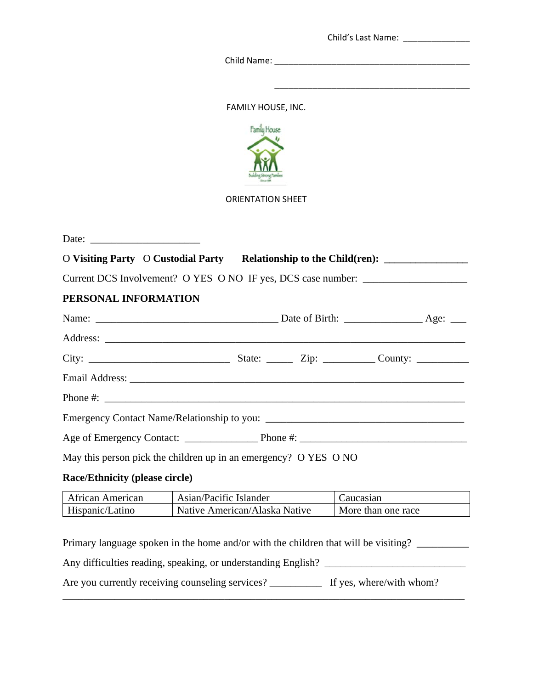|             | Child's Last Name: |  |
|-------------|--------------------|--|
| Child Name: |                    |  |
|             |                    |  |
|             |                    |  |

FAMILY HOUSE, INC.



ORIENTATION SHEET

| O Visiting Party O Custodial Party Relationship to the Child(ren): _____________  |                                                                                                                      |  |
|-----------------------------------------------------------------------------------|----------------------------------------------------------------------------------------------------------------------|--|
| Current DCS Involvement? O YES O NO IF yes, DCS case number: ____________________ |                                                                                                                      |  |
| PERSONAL INFORMATION                                                              |                                                                                                                      |  |
|                                                                                   |                                                                                                                      |  |
|                                                                                   |                                                                                                                      |  |
|                                                                                   |                                                                                                                      |  |
|                                                                                   |                                                                                                                      |  |
|                                                                                   |                                                                                                                      |  |
|                                                                                   |                                                                                                                      |  |
|                                                                                   |                                                                                                                      |  |
| May this person pick the children up in an emergency? O YES O NO                  |                                                                                                                      |  |
| <b>Race/Ethnicity (please circle)</b>                                             |                                                                                                                      |  |
| the control of the control of the control of the control of the control of        | <u> 1989 - Johann Stein, mars an t-Amerikaansk ferske ferhandsk ferske ferske ferske ferske ferske ferske ferske</u> |  |

| African American | Asian/Pacific Islander        | `aucasian          |
|------------------|-------------------------------|--------------------|
| Hispanic/Latino  | Native American/Alaska Native | More than one race |

Primary language spoken in the home and/or with the children that will be visiting? \_\_\_\_\_\_\_\_\_\_\_\_\_\_\_\_

Any difficulties reading, speaking, or understanding English? \_\_\_\_\_\_\_\_\_\_\_\_\_\_\_\_\_\_\_\_\_\_\_\_\_\_\_

Are you currently receiving counseling services? \_\_\_\_\_\_\_\_\_\_\_\_\_\_\_ If yes, where/with whom?

\_\_\_\_\_\_\_\_\_\_\_\_\_\_\_\_\_\_\_\_\_\_\_\_\_\_\_\_\_\_\_\_\_\_\_\_\_\_\_\_\_\_\_\_\_\_\_\_\_\_\_\_\_\_\_\_\_\_\_\_\_\_\_\_\_\_\_\_\_\_\_\_\_\_\_\_\_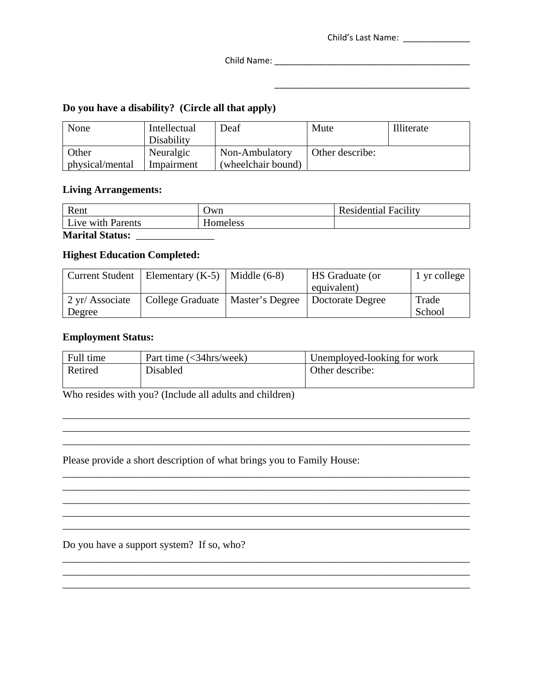| Child's Last Name: |  |
|--------------------|--|
|                    |  |

\_\_\_\_\_\_\_\_\_\_\_\_\_\_\_\_\_\_\_\_\_\_\_\_\_\_\_\_\_\_\_\_\_\_\_\_\_\_\_\_\_

Child Name: \_\_\_\_\_\_\_\_\_\_\_\_\_\_\_\_\_\_\_\_\_\_\_\_\_\_\_\_\_\_\_\_\_\_\_\_\_\_\_\_\_

## **Do you have a disability? (Circle all that apply)**

| None            | Intellectual | Deaf               | Mute            | Illiterate |
|-----------------|--------------|--------------------|-----------------|------------|
|                 | Disability   |                    |                 |            |
| Other           | Neuralgic    | Non-Ambulatory     | Other describe: |            |
| physical/mental | Impairment   | (wheelchair bound) |                 |            |

### **Living Arrangements:**

| Rent                   | Jwn      | <b>Residential Facility</b> |  |  |
|------------------------|----------|-----------------------------|--|--|
| Live with Parents      | Homeless |                             |  |  |
| <b>Marital Status:</b> |          |                             |  |  |

#### **Highest Education Completed:**

|                 | Current Student   Elementary $(K-5)$   Middle $(6-8)$ |                 | <b>HS</b> Graduate (or | 1 yr college |
|-----------------|-------------------------------------------------------|-----------------|------------------------|--------------|
|                 |                                                       |                 | equivalent)            |              |
| 2 yr/ Associate | College Graduate                                      | Master's Degree | Doctorate Degree       | Trade        |
| Degree          |                                                       |                 |                        | School       |

#### **Employment Status:**

| Full time | Part time $\left\langle \langle 34\text{hrs}/\text{week} \rangle \right\rangle$ | Unemployed-looking for work |
|-----------|---------------------------------------------------------------------------------|-----------------------------|
| Retired   | Disabled                                                                        | Other describe:             |
|           |                                                                                 |                             |

\_\_\_\_\_\_\_\_\_\_\_\_\_\_\_\_\_\_\_\_\_\_\_\_\_\_\_\_\_\_\_\_\_\_\_\_\_\_\_\_\_\_\_\_\_\_\_\_\_\_\_\_\_\_\_\_\_\_\_\_\_\_\_\_\_\_\_\_\_\_\_\_\_\_\_\_\_\_

\_\_\_\_\_\_\_\_\_\_\_\_\_\_\_\_\_\_\_\_\_\_\_\_\_\_\_\_\_\_\_\_\_\_\_\_\_\_\_\_\_\_\_\_\_\_\_\_\_\_\_\_\_\_\_\_\_\_\_\_\_\_\_\_\_\_\_\_\_\_\_\_\_\_\_\_\_\_ \_\_\_\_\_\_\_\_\_\_\_\_\_\_\_\_\_\_\_\_\_\_\_\_\_\_\_\_\_\_\_\_\_\_\_\_\_\_\_\_\_\_\_\_\_\_\_\_\_\_\_\_\_\_\_\_\_\_\_\_\_\_\_\_\_\_\_\_\_\_\_\_\_\_\_\_\_\_ \_\_\_\_\_\_\_\_\_\_\_\_\_\_\_\_\_\_\_\_\_\_\_\_\_\_\_\_\_\_\_\_\_\_\_\_\_\_\_\_\_\_\_\_\_\_\_\_\_\_\_\_\_\_\_\_\_\_\_\_\_\_\_\_\_\_\_\_\_\_\_\_\_\_\_\_\_\_ \_\_\_\_\_\_\_\_\_\_\_\_\_\_\_\_\_\_\_\_\_\_\_\_\_\_\_\_\_\_\_\_\_\_\_\_\_\_\_\_\_\_\_\_\_\_\_\_\_\_\_\_\_\_\_\_\_\_\_\_\_\_\_\_\_\_\_\_\_\_\_\_\_\_\_\_\_\_ \_\_\_\_\_\_\_\_\_\_\_\_\_\_\_\_\_\_\_\_\_\_\_\_\_\_\_\_\_\_\_\_\_\_\_\_\_\_\_\_\_\_\_\_\_\_\_\_\_\_\_\_\_\_\_\_\_\_\_\_\_\_\_\_\_\_\_\_\_\_\_\_\_\_\_\_\_\_

\_\_\_\_\_\_\_\_\_\_\_\_\_\_\_\_\_\_\_\_\_\_\_\_\_\_\_\_\_\_\_\_\_\_\_\_\_\_\_\_\_\_\_\_\_\_\_\_\_\_\_\_\_\_\_\_\_\_\_\_\_\_\_\_\_\_\_\_\_\_\_\_\_\_\_\_\_\_ \_\_\_\_\_\_\_\_\_\_\_\_\_\_\_\_\_\_\_\_\_\_\_\_\_\_\_\_\_\_\_\_\_\_\_\_\_\_\_\_\_\_\_\_\_\_\_\_\_\_\_\_\_\_\_\_\_\_\_\_\_\_\_\_\_\_\_\_\_\_\_\_\_\_\_\_\_\_

\_\_\_\_\_\_\_\_\_\_\_\_\_\_\_\_\_\_\_\_\_\_\_\_\_\_\_\_\_\_\_\_\_\_\_\_\_\_\_\_\_\_\_\_\_\_\_\_\_\_\_\_\_\_\_\_\_\_\_\_\_\_\_\_\_\_\_\_\_\_\_\_\_\_\_\_\_\_

Who resides with you? (Include all adults and children)

Please provide a short description of what brings you to Family House:

Do you have a support system? If so, who?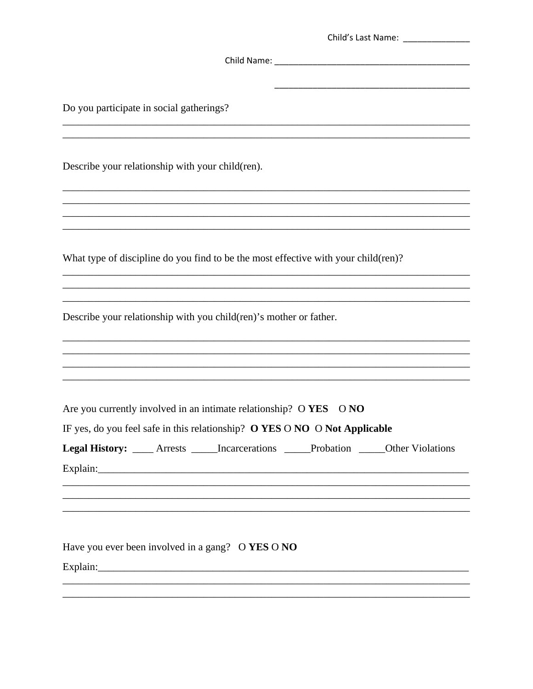| Do you participate in social gatherings?                                                                                                                                                         |
|--------------------------------------------------------------------------------------------------------------------------------------------------------------------------------------------------|
| Describe your relationship with your child(ren).                                                                                                                                                 |
|                                                                                                                                                                                                  |
| What type of discipline do you find to be the most effective with your child(ren)?                                                                                                               |
| Describe your relationship with you child (ren)'s mother or father.                                                                                                                              |
| Are you currently involved in an intimate relationship? O YES ONO<br>IF yes, do you feel safe in this relationship? O YES O NO O Not Applicable                                                  |
| Legal History: ____ Arrests _____ Incarcerations _____ Probation _____ Other Violations<br>Explain: explain:<br>,我们也不能在这里的时候,我们也不能在这里的时候,我们也不能在这里的时候,我们也不能会在这里的时候,我们也不能会在这里的时候,我们也不能会在这里的时候,我们也不 |
| Have you ever been involved in a gang? O YES O NO                                                                                                                                                |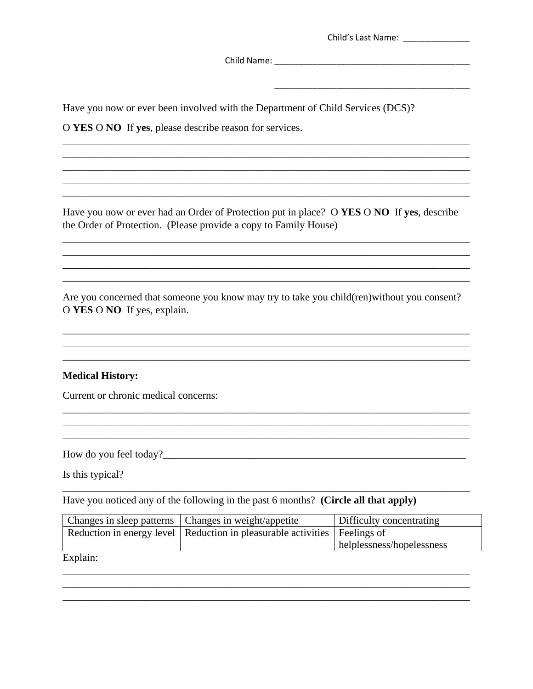| Child's Last Name: |
|--------------------|
|--------------------|

Child Name: Name and South Art and South Art and South Art and South Art and South Art and South Art and South Art and South Art and South Art and South Art and South Art and South Art and South Art and South Art and South

Have you now or ever been involved with the Department of Child Services (DCS)?

O YES O NO If yes, please describe reason for services.

Have you now or ever had an Order of Protection put in place? O YES O NO If yes, describe the Order of Protection. (Please provide a copy to Family House)

Are you concerned that someone you know may try to take you child(ren) without you consent? O YES O NO If yes, explain.

#### **Medical History:**

Current or chronic medical concerns:

Is this typical?

Have you noticed any of the following in the past 6 months? (Circle all that apply)

|                           | Changes in sleep patterns   Changes in weight/appetite                        | Difficulty concentrating  |
|---------------------------|-------------------------------------------------------------------------------|---------------------------|
|                           | Reduction in energy level   Reduction in pleasurable activities   Feelings of |                           |
|                           |                                                                               | helplessness/hopelessness |
| $\mathbf{r}$ $\mathbf{r}$ |                                                                               |                           |

Explain: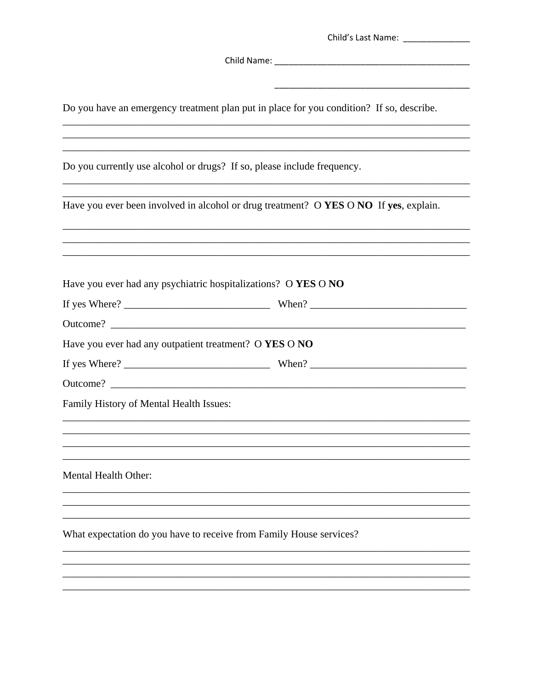Do you have an emergency treatment plan put in place for you condition? If so, describe.

Do you currently use alcohol or drugs? If so, please include frequency.

|                                                                     | Have you ever been involved in alcohol or drug treatment? O YES O NO If yes, explain. |
|---------------------------------------------------------------------|---------------------------------------------------------------------------------------|
|                                                                     |                                                                                       |
| Have you ever had any psychiatric hospitalizations? O YES O NO      |                                                                                       |
|                                                                     |                                                                                       |
|                                                                     |                                                                                       |
| Have you ever had any outpatient treatment? O YES O NO              |                                                                                       |
|                                                                     | If yes Where? $\frac{1}{2}$ When? When? $\frac{1}{2}$ When? $\frac{1}{2}$             |
|                                                                     |                                                                                       |
| Family History of Mental Health Issues:                             |                                                                                       |
|                                                                     |                                                                                       |
|                                                                     |                                                                                       |
| Mental Health Other:                                                |                                                                                       |
|                                                                     |                                                                                       |
| What expectation do you have to receive from Family House services? |                                                                                       |
|                                                                     |                                                                                       |
|                                                                     |                                                                                       |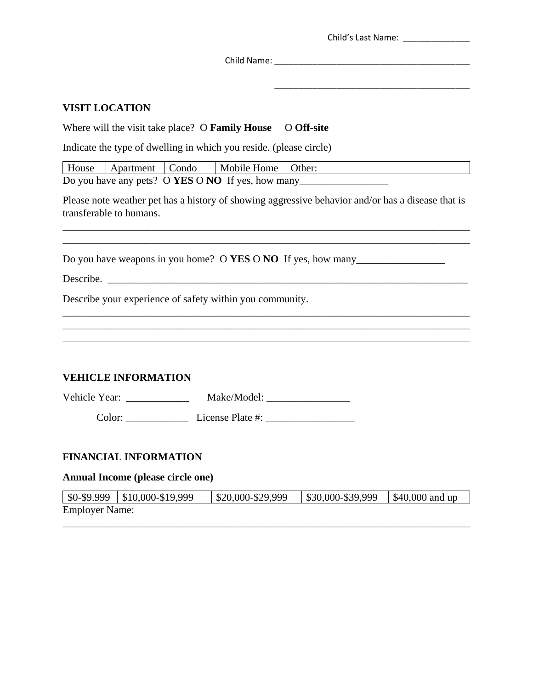Child's Last Name: \_\_\_\_\_\_\_\_\_\_\_\_\_\_

\_\_\_\_\_\_\_\_\_\_\_\_\_\_\_\_\_\_\_\_\_\_\_\_\_\_\_\_\_\_\_\_\_\_\_\_\_\_\_\_\_

Child Name: \_\_\_\_\_\_\_\_\_\_\_\_\_\_\_\_\_\_\_\_\_\_\_\_\_\_\_\_\_\_\_\_\_\_\_\_\_\_\_\_\_

#### **VISIT LOCATION**

Where will the visit take place? O **Family House** O Off-site

Indicate the type of dwelling in which you reside. (please circle)

|                                                   | House Apartment Condo |  | Mobile Home   Other: |  |
|---------------------------------------------------|-----------------------|--|----------------------|--|
| Do you have any pets? O YES O NO If yes, how many |                       |  |                      |  |

Please note weather pet has a history of showing aggressive behavior and/or has a disease that is transferable to humans.

\_\_\_\_\_\_\_\_\_\_\_\_\_\_\_\_\_\_\_\_\_\_\_\_\_\_\_\_\_\_\_\_\_\_\_\_\_\_\_\_\_\_\_\_\_\_\_\_\_\_\_\_\_\_\_\_\_\_\_\_\_\_\_\_\_\_\_\_\_\_\_\_\_\_\_\_\_\_ \_\_\_\_\_\_\_\_\_\_\_\_\_\_\_\_\_\_\_\_\_\_\_\_\_\_\_\_\_\_\_\_\_\_\_\_\_\_\_\_\_\_\_\_\_\_\_\_\_\_\_\_\_\_\_\_\_\_\_\_\_\_\_\_\_\_\_\_\_\_\_\_\_\_\_\_\_\_

\_\_\_\_\_\_\_\_\_\_\_\_\_\_\_\_\_\_\_\_\_\_\_\_\_\_\_\_\_\_\_\_\_\_\_\_\_\_\_\_\_\_\_\_\_\_\_\_\_\_\_\_\_\_\_\_\_\_\_\_\_\_\_\_\_\_\_\_\_\_\_\_\_\_\_\_\_\_ \_\_\_\_\_\_\_\_\_\_\_\_\_\_\_\_\_\_\_\_\_\_\_\_\_\_\_\_\_\_\_\_\_\_\_\_\_\_\_\_\_\_\_\_\_\_\_\_\_\_\_\_\_\_\_\_\_\_\_\_\_\_\_\_\_\_\_\_\_\_\_\_\_\_\_\_\_\_ \_\_\_\_\_\_\_\_\_\_\_\_\_\_\_\_\_\_\_\_\_\_\_\_\_\_\_\_\_\_\_\_\_\_\_\_\_\_\_\_\_\_\_\_\_\_\_\_\_\_\_\_\_\_\_\_\_\_\_\_\_\_\_\_\_\_\_\_\_\_\_\_\_\_\_\_\_\_

Do you have weapons in you home? O **YES** O **NO** If yes, how many\_\_\_\_\_\_\_\_\_\_\_\_\_\_\_\_\_

Describe.

Describe your experience of safety within you community.

#### **VEHICLE INFORMATION**

Vehicle Year: **\_\_\_\_\_\_\_\_\_\_\_\_** Make/Model: \_\_\_\_\_\_\_\_\_\_\_\_\_\_\_\_

Color: \_\_\_\_\_\_\_\_\_\_\_\_ License Plate #: \_\_\_\_\_\_\_\_\_\_\_\_\_\_\_\_\_

#### **FINANCIAL INFORMATION**

#### **Annual Income (please circle one)**

|                       | $\vert$ \$0-\$9.999 $\vert$ \$10,000-\$19,999 | $\frac{1}{2}$ \$20,000-\$29,999 | $\frac{1}{2}$ \$30,000-\$39,999 | $\parallel$ \$40,000 and up |
|-----------------------|-----------------------------------------------|---------------------------------|---------------------------------|-----------------------------|
| <b>Employer Name:</b> |                                               |                                 |                                 |                             |

\_\_\_\_\_\_\_\_\_\_\_\_\_\_\_\_\_\_\_\_\_\_\_\_\_\_\_\_\_\_\_\_\_\_\_\_\_\_\_\_\_\_\_\_\_\_\_\_\_\_\_\_\_\_\_\_\_\_\_\_\_\_\_\_\_\_\_\_\_\_\_\_\_\_\_\_\_\_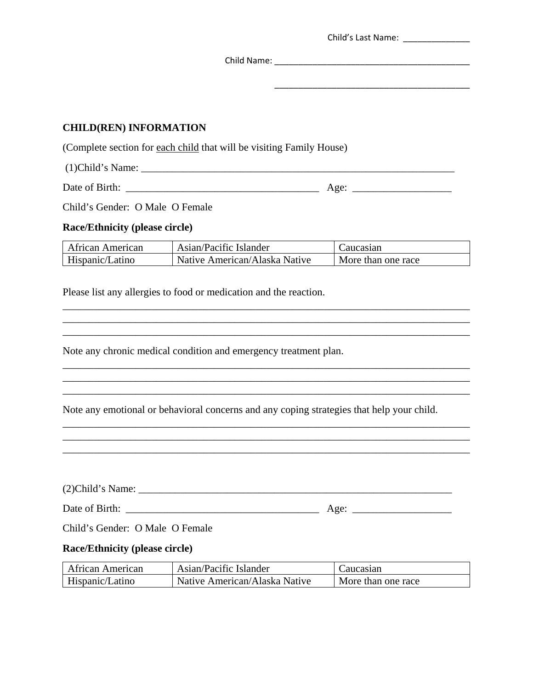|                                                                          |                                                                                                                                                       | Child's Last Name: _______________                         |
|--------------------------------------------------------------------------|-------------------------------------------------------------------------------------------------------------------------------------------------------|------------------------------------------------------------|
|                                                                          |                                                                                                                                                       |                                                            |
|                                                                          |                                                                                                                                                       | <u> 1989 - Johann Stein, mars and de Barbara (b. 1989)</u> |
| <b>CHILD(REN) INFORMATION</b>                                            |                                                                                                                                                       |                                                            |
|                                                                          | (Complete section for each child that will be visiting Family House)                                                                                  |                                                            |
|                                                                          |                                                                                                                                                       |                                                            |
|                                                                          |                                                                                                                                                       |                                                            |
| Child's Gender: O Male O Female                                          |                                                                                                                                                       |                                                            |
|                                                                          |                                                                                                                                                       |                                                            |
| <b>Race/Ethnicity (please circle)</b>                                    |                                                                                                                                                       |                                                            |
| <b>African American</b><br>Hispanic/Latino                               | Asian/Pacific Islander<br>Native American/Alaska Native                                                                                               | Caucasian<br>More than one race                            |
|                                                                          |                                                                                                                                                       |                                                            |
|                                                                          | ,我们也不能在这里的时候,我们也不能在这里的时候,我们也不能会在这里的时候,我们也不能会在这里的时候,我们也不能会在这里的时候,我们也不能会在这里的时候,我们也不<br>Note any chronic medical condition and emergency treatment plan. |                                                            |
|                                                                          | Note any emotional or behavioral concerns and any coping strategies that help your child.                                                             |                                                            |
|                                                                          |                                                                                                                                                       |                                                            |
|                                                                          |                                                                                                                                                       |                                                            |
|                                                                          |                                                                                                                                                       |                                                            |
|                                                                          |                                                                                                                                                       |                                                            |
| Child's Gender: O Male O Female<br><b>Race/Ethnicity (please circle)</b> |                                                                                                                                                       |                                                            |
| African American                                                         | Asian/Pacific Islander                                                                                                                                | Caucasian                                                  |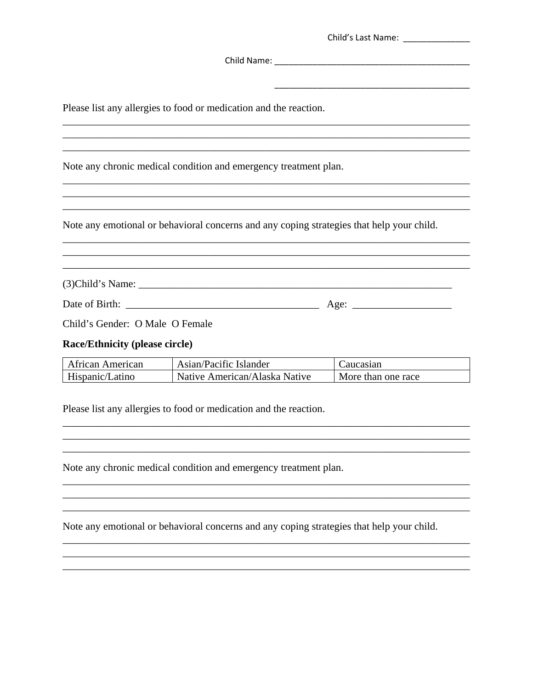|                                       | Please list any allergies to food or medication and the reaction.                                                                                                     |                                                                                           |
|---------------------------------------|-----------------------------------------------------------------------------------------------------------------------------------------------------------------------|-------------------------------------------------------------------------------------------|
|                                       |                                                                                                                                                                       | ,我们也不会有什么。""我们的人,我们也不会有什么?""我们的人,我们也不会有什么?""我们的人,我们也不会有什么?""我们的人,我们也不会有什么?""我们的人          |
|                                       | Note any chronic medical condition and emergency treatment plan.                                                                                                      |                                                                                           |
|                                       |                                                                                                                                                                       |                                                                                           |
|                                       |                                                                                                                                                                       | Note any emotional or behavioral concerns and any coping strategies that help your child. |
|                                       | ,我们也不能在这里的时候,我们也不能在这里的时候,我们也不能会在这里的时候,我们也不能会在这里的时候,我们也不能会在这里的时候,我们也不能会在这里的时候,我们也不<br>,我们也不能在这里的时候,我们也不能在这里的时候,我们也不能在这里的时候,我们也不能会不能会不能会不能会不能会不能会不能会。""我们的是我们的,我们也不能会不能 |                                                                                           |
|                                       |                                                                                                                                                                       |                                                                                           |
|                                       |                                                                                                                                                                       |                                                                                           |
| Child's Gender: O Male O Female       |                                                                                                                                                                       |                                                                                           |
| <b>Race/Ethnicity (please circle)</b> |                                                                                                                                                                       |                                                                                           |
|                                       | $\Delta$ frican $\Delta$ merican $\Delta$ sian/Pacific Islander                                                                                                       | $\Gamma$ aucasian                                                                         |

| l African American | Asian/Pacific Islander        | Caucasian          |
|--------------------|-------------------------------|--------------------|
| Hispanic/Latino    | Native American/Alaska Native | More than one race |

<u> 1989 - Johann Stoff, deutscher Stoffen und der Stoffen und der Stoffen und der Stoffen und der Stoffen und de</u>

<u> 2000 - Jan Barnett, fransk politik (d. 1982)</u>

Please list any allergies to food or medication and the reaction.

Note any chronic medical condition and emergency treatment plan.

Note any emotional or behavioral concerns and any coping strategies that help your child.